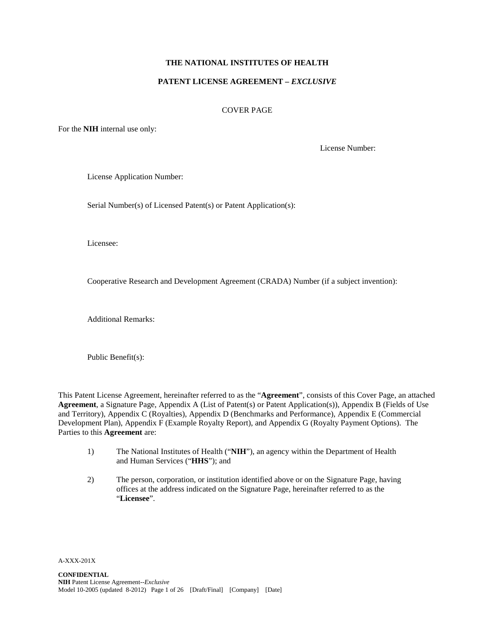## **THE NATIONAL INSTITUTES OF HEALTH**

### **PATENT LICENSE AGREEMENT –** *EXCLUSIVE*

#### COVER PAGE

For the **NIH** internal use only:

License Number:

License Application Number:

Serial Number(s) of Licensed Patent(s) or Patent Application(s):

Licensee:

Cooperative Research and Development Agreement (CRADA) Number (if a subject invention):

Additional Remarks:

Public Benefit(s):

This Patent License Agreement, hereinafter referred to as the "**Agreement**", consists of this Cover Page, an attached **Agreement**, a Signature Page, Appendix A (List of Patent(s) or Patent Application(s)), Appendix B (Fields of Use and Territory), Appendix C (Royalties), Appendix D (Benchmarks and Performance), Appendix E (Commercial Development Plan), Appendix F (Example Royalty Report), and Appendix G (Royalty Payment Options). The Parties to this **Agreement** are:

- 1) The National Institutes of Health ("**NIH**"), an agency within the Department of Health and Human Services ("**HHS**"); and
- 2) The person, corporation, or institution identified above or on the Signature Page, having offices at the address indicated on the Signature Page, hereinafter referred to as the "**Licensee**".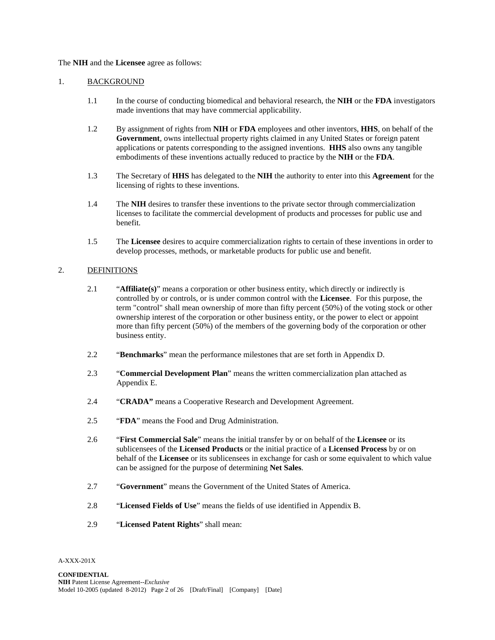### The **NIH** and the **Licensee** agree as follows:

### 1. BACKGROUND

- 1.1 In the course of conducting biomedical and behavioral research, the **NIH** or the **FDA** investigators made inventions that may have commercial applicability.
- 1.2 By assignment of rights from **NIH** or **FDA** employees and other inventors, **HHS**, on behalf of the **Government**, owns intellectual property rights claimed in any United States or foreign patent applications or patents corresponding to the assigned inventions. **HHS** also owns any tangible embodiments of these inventions actually reduced to practice by the **NIH** or the **FDA**.
- 1.3 The Secretary of **HHS** has delegated to the **NIH** the authority to enter into this **Agreement** for the licensing of rights to these inventions.
- 1.4 The **NIH** desires to transfer these inventions to the private sector through commercialization licenses to facilitate the commercial development of products and processes for public use and benefit.
- 1.5 The **Licensee** desires to acquire commercialization rights to certain of these inventions in order to develop processes, methods, or marketable products for public use and benefit.

### 2. DEFINITIONS

- 2.1 "**Affiliate(s)**" means a corporation or other business entity, which directly or indirectly is controlled by or controls, or is under common control with the **Licensee**. For this purpose, the term "control" shall mean ownership of more than fifty percent (50%) of the voting stock or other ownership interest of the corporation or other business entity, or the power to elect or appoint more than fifty percent (50%) of the members of the governing body of the corporation or other business entity.
- 2.2 "**Benchmarks**" mean the performance milestones that are set forth in Appendix D.
- 2.3 "**Commercial Development Plan**" means the written commercialization plan attached as Appendix E.
- 2.4 "**CRADA"** means a Cooperative Research and Development Agreement.
- 2.5 "**FDA**" means the Food and Drug Administration.
- 2.6 "**First Commercial Sale**" means the initial transfer by or on behalf of the **Licensee** or its sublicensees of the **Licensed Products** or the initial practice of a **Licensed Process** by or on behalf of the **Licensee** or its sublicensees in exchange for cash or some equivalent to which value can be assigned for the purpose of determining **Net Sales**.
- 2.7 "**Government**" means the Government of the United States of America.
- 2.8 "**Licensed Fields of Use**" means the fields of use identified in Appendix B.
- 2.9 "**Licensed Patent Rights**" shall mean: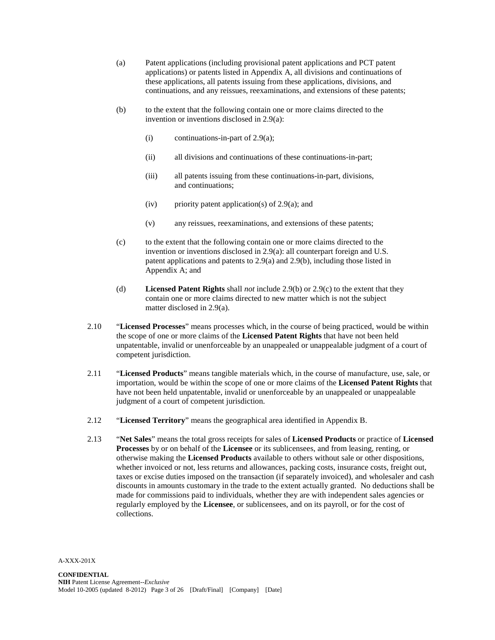- (a) Patent applications (including provisional patent applications and PCT patent applications) or patents listed in Appendix A, all divisions and continuations of these applications, all patents issuing from these applications, divisions, and continuations, and any reissues, reexaminations, and extensions of these patents;
- (b) to the extent that the following contain one or more claims directed to the invention or inventions disclosed in 2.9(a):
	- (i) continuations-in-part of  $2.9(a)$ ;
	- (ii) all divisions and continuations of these continuations-in-part;
	- (iii) all patents issuing from these continuations-in-part, divisions, and continuations;
	- (iv) priority patent application(s) of  $2.9(a)$ ; and
	- (v) any reissues, reexaminations, and extensions of these patents;
- (c) to the extent that the following contain one or more claims directed to the invention or inventions disclosed in 2.9(a): all counterpart foreign and U.S. patent applications and patents to 2.9(a) and 2.9(b), including those listed in Appendix A; and
- (d) **Licensed Patent Rights** shall *not* include 2.9(b) or 2.9(c) to the extent that they contain one or more claims directed to new matter which is not the subject matter disclosed in 2.9(a).
- 2.10 "**Licensed Processes**" means processes which, in the course of being practiced, would be within the scope of one or more claims of the **Licensed Patent Rights** that have not been held unpatentable, invalid or unenforceable by an unappealed or unappealable judgment of a court of competent jurisdiction.
- 2.11 "**Licensed Products**" means tangible materials which, in the course of manufacture, use, sale, or importation, would be within the scope of one or more claims of the **Licensed Patent Rights** that have not been held unpatentable, invalid or unenforceable by an unappealed or unappealable judgment of a court of competent jurisdiction.
- 2.12 "**Licensed Territory**" means the geographical area identified in Appendix B.
- 2.13 "**Net Sales**" means the total gross receipts for sales of **Licensed Products** or practice of **Licensed Processes** by or on behalf of the **Licensee** or its sublicensees, and from leasing, renting, or otherwise making the **Licensed Products** available to others without sale or other dispositions, whether invoiced or not, less returns and allowances, packing costs, insurance costs, freight out, taxes or excise duties imposed on the transaction (if separately invoiced), and wholesaler and cash discounts in amounts customary in the trade to the extent actually granted. No deductions shall be made for commissions paid to individuals, whether they are with independent sales agencies or regularly employed by the **Licensee**, or sublicensees, and on its payroll, or for the cost of collections.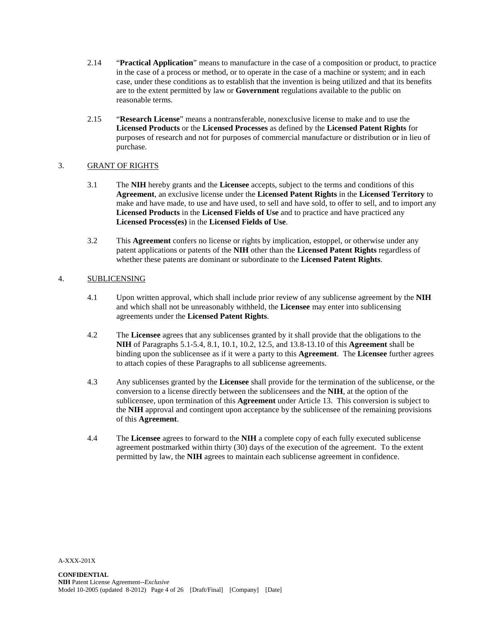- 2.14 "**Practical Application**" means to manufacture in the case of a composition or product, to practice in the case of a process or method, or to operate in the case of a machine or system; and in each case, under these conditions as to establish that the invention is being utilized and that its benefits are to the extent permitted by law or **Government** regulations available to the public on reasonable terms.
- 2.15 "**Research License**" means a nontransferable, nonexclusive license to make and to use the **Licensed Products** or the **Licensed Processes** as defined by the **Licensed Patent Rights** for purposes of research and not for purposes of commercial manufacture or distribution or in lieu of purchase.

### 3. GRANT OF RIGHTS

- 3.1 The **NIH** hereby grants and the **Licensee** accepts, subject to the terms and conditions of this **Agreement**, an exclusive license under the **Licensed Patent Rights** in the **Licensed Territory** to make and have made, to use and have used, to sell and have sold, to offer to sell, and to import any **Licensed Products** in the **Licensed Fields of Use** and to practice and have practiced any **Licensed Process(es)** in the **Licensed Fields of Use**.
- 3.2 This **Agreement** confers no license or rights by implication, estoppel, or otherwise under any patent applications or patents of the **NIH** other than the **Licensed Patent Rights** regardless of whether these patents are dominant or subordinate to the **Licensed Patent Rights**.

## 4. SUBLICENSING

- 4.1 Upon written approval, which shall include prior review of any sublicense agreement by the **NIH** and which shall not be unreasonably withheld, the **Licensee** may enter into sublicensing agreements under the **Licensed Patent Rights**.
- 4.2 The **Licensee** agrees that any sublicenses granted by it shall provide that the obligations to the **NIH** of Paragraphs 5.1-5.4, 8.1, 10.1, 10.2, 12.5, and 13.8-13.10 of this **Agreement** shall be binding upon the sublicensee as if it were a party to this **Agreement**. The **Licensee** further agrees to attach copies of these Paragraphs to all sublicense agreements.
- 4.3 Any sublicenses granted by the **Licensee** shall provide for the termination of the sublicense, or the conversion to a license directly between the sublicensees and the **NIH**, at the option of the sublicensee, upon termination of this **Agreement** under Article 13. This conversion is subject to the **NIH** approval and contingent upon acceptance by the sublicensee of the remaining provisions of this **Agreement**.
- 4.4 The **Licensee** agrees to forward to the **NIH** a complete copy of each fully executed sublicense agreement postmarked within thirty (30) days of the execution of the agreement. To the extent permitted by law, the **NIH** agrees to maintain each sublicense agreement in confidence.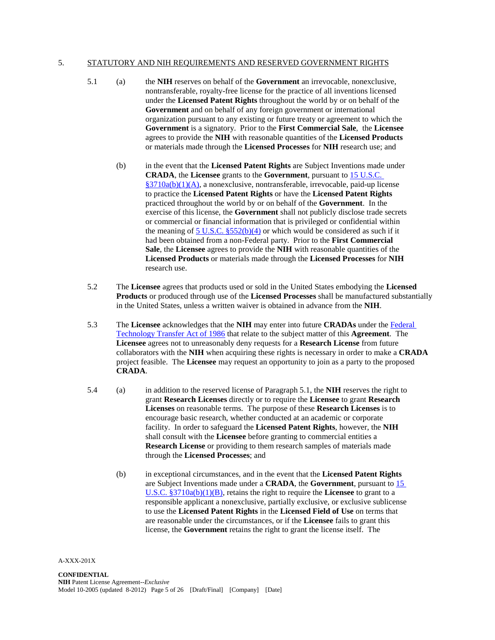#### 5. STATUTORY AND NIH REQUIREMENTS AND RESERVED GOVERNMENT RIGHTS

- 5.1 (a) the **NIH** reserves on behalf of the **Government** an irrevocable, nonexclusive, nontransferable, royalty-free license for the practice of all inventions licensed under the **Licensed Patent Rights** throughout the world by or on behalf of the **Government** and on behalf of any foreign government or international organization pursuant to any existing or future treaty or agreement to which the **Government** is a signatory. Prior to the **First Commercial Sale**, the **Licensee** agrees to provide the **NIH** with reasonable quantities of the **Licensed Products** or materials made through the **Licensed Processes** for **NIH** research use; and
	- (b) in the event that the **Licensed Patent Rights** are Subject Inventions made under **CRADA**, the **Licensee** grants to the **Government**, pursuant to [15 U.S.C.](http://frwebgate.access.gpo.gov/cgi-bin/usc.cgi?ACTION=RETRIEVE&FILE=$$xa$$busc15.wais&start=10565352&SIZE=35365&TYPE=TEXT)  [§3710a\(b\)\(1\)\(A\),](http://frwebgate.access.gpo.gov/cgi-bin/usc.cgi?ACTION=RETRIEVE&FILE=$$xa$$busc15.wais&start=10565352&SIZE=35365&TYPE=TEXT) a nonexclusive, nontransferable, irrevocable, paid-up license to practice the **Licensed Patent Rights** or have the **Licensed Patent Rights** practiced throughout the world by or on behalf of the **Government**. In the exercise of this license, the **Government** shall not publicly disclose trade secrets or commercial or financial information that is privileged or confidential within the meaning of  $5$  U.S.C.  $$552(b)(4)$  or which would be considered as such if it had been obtained from a non-Federal party. Prior to the **First Commercial Sale**, the **Licensee** agrees to provide the **NIH** with reasonable quantities of the **Licensed Products** or materials made through the **Licensed Processes** for **NIH** research use.
- 5.2 The **Licensee** agrees that products used or sold in the United States embodying the **Licensed Products** or produced through use of the **Licensed Processes** shall be manufactured substantially in the United States, unless a written waiver is obtained in advance from the **NIH**.
- 5.3 The **Licensee** acknowledges that the **NIH** may enter into future **CRADAs** under the [Federal](http://history.nih.gov/research/downloads/PL99-502.pdf)  [Technology Transfer Act of 1986](http://history.nih.gov/research/downloads/PL99-502.pdf) that relate to the subject matter of this **Agreement**. The **Licensee** agrees not to unreasonably deny requests for a **Research License** from future collaborators with the **NIH** when acquiring these rights is necessary in order to make a **CRADA** project feasible. The **Licensee** may request an opportunity to join as a party to the proposed **CRADA**.
- 5.4 (a) in addition to the reserved license of Paragraph 5.1, the **NIH** reserves the right to grant **Research Licenses** directly or to require the **Licensee** to grant **Research Licenses** on reasonable terms. The purpose of these **Research Licenses** is to encourage basic research, whether conducted at an academic or corporate facility. In order to safeguard the **Licensed Patent Rights**, however, the **NIH** shall consult with the **Licensee** before granting to commercial entities a **Research License** or providing to them research samples of materials made through the **Licensed Processes**; and
	- (b) in exceptional circumstances, and in the event that the **Licensed Patent Rights** are Subject Inventions made under a **CRADA**, the **Government**, pursuant to [15](http://frwebgate.access.gpo.gov/cgi-bin/usc.cgi?ACTION=RETRIEVE&FILE=$$xa$$busc15.wais&start=10565352&SIZE=35365&TYPE=TEXT)  U.S.C. [§3710a\(b\)\(1\)\(B\),](http://frwebgate.access.gpo.gov/cgi-bin/usc.cgi?ACTION=RETRIEVE&FILE=$$xa$$busc15.wais&start=10565352&SIZE=35365&TYPE=TEXT) retains the right to require the **Licensee** to grant to a responsible applicant a nonexclusive, partially exclusive, or exclusive sublicense to use the **Licensed Patent Rights** in the **Licensed Field of Use** on terms that are reasonable under the circumstances, or if the **Licensee** fails to grant this license, the **Government** retains the right to grant the license itself. The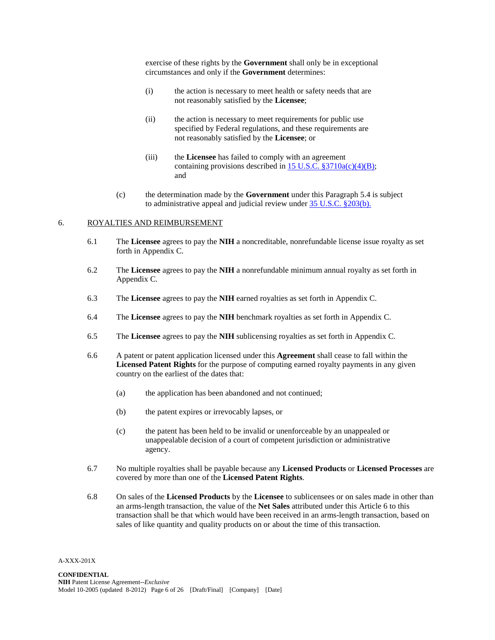exercise of these rights by the **Government** shall only be in exceptional circumstances and only if the **Government** determines:

- (i) the action is necessary to meet health or safety needs that are not reasonably satisfied by the **Licensee**;
- (ii) the action is necessary to meet requirements for public use specified by Federal regulations, and these requirements are not reasonably satisfied by the **Licensee**; or
- (iii) the **Licensee** has failed to comply with an agreement containing provisions described in  $15$  U.S.C. §3710a(c)(4)(B); and
- (c) the determination made by the **Government** under this Paragraph 5.4 is subject to administrative appeal and judicial review under [35 U.S.C. §203\(b\).](http://frwebgate.access.gpo.gov/cgi-bin/usc.cgi?ACTION=RETRIEVE&FILE=$$xa$$busc35.wais&start=529748&SIZE=4461&TYPE=TEXT)

### 6. ROYALTIES AND REIMBURSEMENT

- 6.1 The **Licensee** agrees to pay the **NIH** a noncreditable, nonrefundable license issue royalty as set forth in Appendix C.
- 6.2 The **Licensee** agrees to pay the **NIH** a nonrefundable minimum annual royalty as set forth in Appendix C.
- 6.3 The **Licensee** agrees to pay the **NIH** earned royalties as set forth in Appendix C.
- 6.4 The **Licensee** agrees to pay the **NIH** benchmark royalties as set forth in Appendix C.
- 6.5 The **Licensee** agrees to pay the **NIH** sublicensing royalties as set forth in Appendix C.
- 6.6 A patent or patent application licensed under this **Agreement** shall cease to fall within the **Licensed Patent Rights** for the purpose of computing earned royalty payments in any given country on the earliest of the dates that:
	- (a) the application has been abandoned and not continued;
	- (b) the patent expires or irrevocably lapses, or
	- (c) the patent has been held to be invalid or unenforceable by an unappealed or unappealable decision of a court of competent jurisdiction or administrative agency.
- 6.7 No multiple royalties shall be payable because any **Licensed Products** or **Licensed Processes** are covered by more than one of the **Licensed Patent Rights**.
- 6.8 On sales of the **Licensed Products** by the **Licensee** to sublicensees or on sales made in other than an arms-length transaction, the value of the **Net Sales** attributed under this Article 6 to this transaction shall be that which would have been received in an arms-length transaction, based on sales of like quantity and quality products on or about the time of this transaction.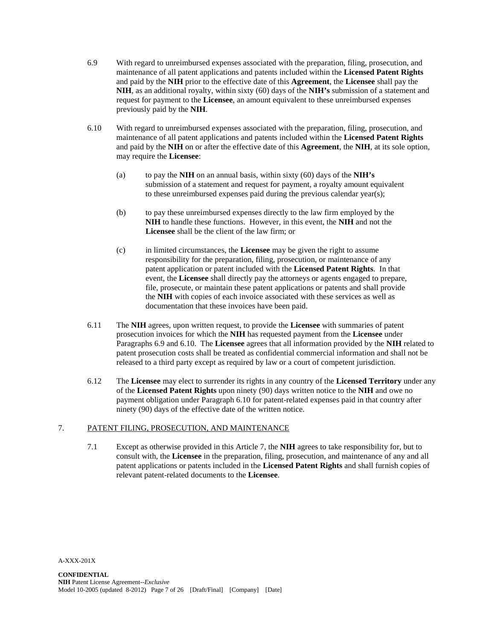- 6.9 With regard to unreimbursed expenses associated with the preparation, filing, prosecution, and maintenance of all patent applications and patents included within the **Licensed Patent Rights** and paid by the **NIH** prior to the effective date of this **Agreement**, the **Licensee** shall pay the **NIH**, as an additional royalty, within sixty (60) days of the **NIH's** submission of a statement and request for payment to the **Licensee**, an amount equivalent to these unreimbursed expenses previously paid by the **NIH**.
- 6.10 With regard to unreimbursed expenses associated with the preparation, filing, prosecution, and maintenance of all patent applications and patents included within the **Licensed Patent Rights** and paid by the **NIH** on or after the effective date of this **Agreement**, the **NIH**, at its sole option, may require the **Licensee**:
	- (a) to pay the **NIH** on an annual basis, within sixty (60) days of the **NIH's** submission of a statement and request for payment, a royalty amount equivalent to these unreimbursed expenses paid during the previous calendar year(s);
	- (b) to pay these unreimbursed expenses directly to the law firm employed by the **NIH** to handle these functions. However, in this event, the **NIH** and not the **Licensee** shall be the client of the law firm; or
	- (c) in limited circumstances, the **Licensee** may be given the right to assume responsibility for the preparation, filing, prosecution, or maintenance of any patent application or patent included with the **Licensed Patent Rights**. In that event, the **Licensee** shall directly pay the attorneys or agents engaged to prepare, file, prosecute, or maintain these patent applications or patents and shall provide the **NIH** with copies of each invoice associated with these services as well as documentation that these invoices have been paid.
- 6.11 The **NIH** agrees, upon written request, to provide the **Licensee** with summaries of patent prosecution invoices for which the **NIH** has requested payment from the **Licensee** under Paragraphs 6.9 and 6.10. The **Licensee** agrees that all information provided by the **NIH** related to patent prosecution costs shall be treated as confidential commercial information and shall not be released to a third party except as required by law or a court of competent jurisdiction.
- 6.12 The **Licensee** may elect to surrender its rights in any country of the **Licensed Territory** under any of the **Licensed Patent Rights** upon ninety (90) days written notice to the **NIH** and owe no payment obligation under Paragraph 6.10 for patent-related expenses paid in that country after ninety (90) days of the effective date of the written notice.

### 7. PATENT FILING, PROSECUTION, AND MAINTENANCE

7.1 Except as otherwise provided in this Article 7, the **NIH** agrees to take responsibility for, but to consult with, the **Licensee** in the preparation, filing, prosecution, and maintenance of any and all patent applications or patents included in the **Licensed Patent Rights** and shall furnish copies of relevant patent-related documents to the **Licensee**.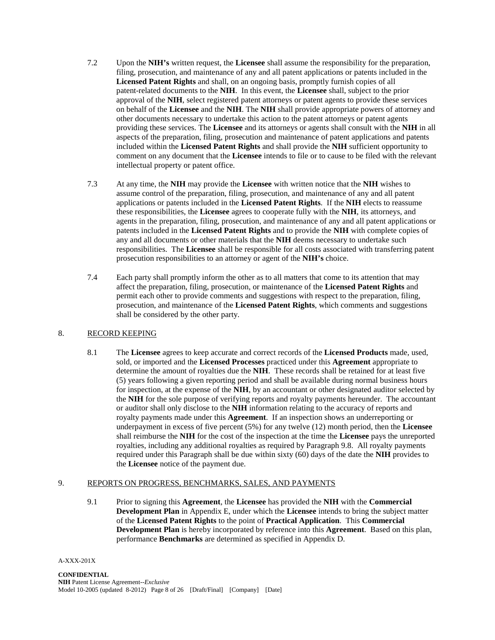- 7.2 Upon the **NIH's** written request, the **Licensee** shall assume the responsibility for the preparation, filing, prosecution, and maintenance of any and all patent applications or patents included in the **Licensed Patent Rights** and shall, on an ongoing basis, promptly furnish copies of all patent-related documents to the **NIH**. In this event, the **Licensee** shall, subject to the prior approval of the **NIH**, select registered patent attorneys or patent agents to provide these services on behalf of the **Licensee** and the **NIH**. The **NIH** shall provide appropriate powers of attorney and other documents necessary to undertake this action to the patent attorneys or patent agents providing these services. The **Licensee** and its attorneys or agents shall consult with the **NIH** in all aspects of the preparation, filing, prosecution and maintenance of patent applications and patents included within the **Licensed Patent Rights** and shall provide the **NIH** sufficient opportunity to comment on any document that the **Licensee** intends to file or to cause to be filed with the relevant intellectual property or patent office.
- 7.3 At any time, the **NIH** may provide the **Licensee** with written notice that the **NIH** wishes to assume control of the preparation, filing, prosecution, and maintenance of any and all patent applications or patents included in the **Licensed Patent Rights**. If the **NIH** elects to reassume these responsibilities, the **Licensee** agrees to cooperate fully with the **NIH**, its attorneys, and agents in the preparation, filing, prosecution, and maintenance of any and all patent applications or patents included in the **Licensed Patent Rights** and to provide the **NIH** with complete copies of any and all documents or other materials that the **NIH** deems necessary to undertake such responsibilities. The **Licensee** shall be responsible for all costs associated with transferring patent prosecution responsibilities to an attorney or agent of the **NIH's** choice.
- 7.4 Each party shall promptly inform the other as to all matters that come to its attention that may affect the preparation, filing, prosecution, or maintenance of the **Licensed Patent Rights** and permit each other to provide comments and suggestions with respect to the preparation, filing, prosecution, and maintenance of the **Licensed Patent Rights**, which comments and suggestions shall be considered by the other party.

### 8. RECORD KEEPING

8.1 The **Licensee** agrees to keep accurate and correct records of the **Licensed Products** made, used, sold, or imported and the **Licensed Processes** practiced under this **Agreement** appropriate to determine the amount of royalties due the **NIH**. These records shall be retained for at least five (5) years following a given reporting period and shall be available during normal business hours for inspection, at the expense of the **NIH**, by an accountant or other designated auditor selected by the **NIH** for the sole purpose of verifying reports and royalty payments hereunder. The accountant or auditor shall only disclose to the **NIH** information relating to the accuracy of reports and royalty payments made under this **Agreement**. If an inspection shows an underreporting or underpayment in excess of five percent (5%) for any twelve (12) month period, then the **Licensee** shall reimburse the **NIH** for the cost of the inspection at the time the **Licensee** pays the unreported royalties, including any additional royalties as required by Paragraph 9.8. All royalty payments required under this Paragraph shall be due within sixty (60) days of the date the **NIH** provides to the **Licensee** notice of the payment due.

#### 9. REPORTS ON PROGRESS, BENCHMARKS, SALES, AND PAYMENTS

9.1 Prior to signing this **Agreement**, the **Licensee** has provided the **NIH** with the **Commercial Development Plan** in Appendix E, under which the **Licensee** intends to bring the subject matter of the **Licensed Patent Rights** to the point of **Practical Application**. This **Commercial Development Plan** is hereby incorporated by reference into this **Agreement**. Based on this plan, performance **Benchmarks** are determined as specified in Appendix D.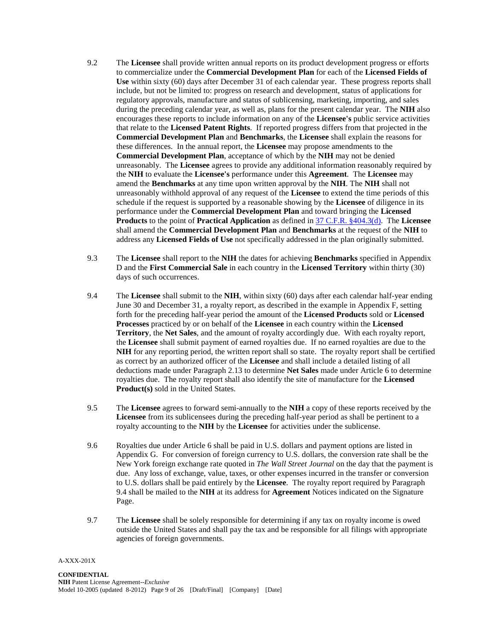- 9.2 The **Licensee** shall provide written annual reports on its product development progress or efforts to commercialize under the **Commercial Development Plan** for each of the **Licensed Fields of Use** within sixty (60) days after December 31 of each calendar year. These progress reports shall include, but not be limited to: progress on research and development, status of applications for regulatory approvals, manufacture and status of sublicensing, marketing, importing, and sales during the preceding calendar year, as well as, plans for the present calendar year. The **NIH** also encourages these reports to include information on any of the **Licensee's** public service activities that relate to the **Licensed Patent Rights**. If reported progress differs from that projected in the **Commercial Development Plan** and **Benchmarks**, the **Licensee** shall explain the reasons for these differences. In the annual report, the **Licensee** may propose amendments to the **Commercial Development Plan**, acceptance of which by the **NIH** may not be denied unreasonably. The **Licensee** agrees to provide any additional information reasonably required by the **NIH** to evaluate the **Licensee's** performance under this **Agreement**. The **Licensee** may amend the **Benchmarks** at any time upon written approval by the **NIH**. The **NIH** shall not unreasonably withhold approval of any request of the **Licensee** to extend the time periods of this schedule if the request is supported by a reasonable showing by the **Licensee** of diligence in its performance under the **Commercial Development Plan** and toward bringing the **Licensed Products** to the point of **Practical Application** as defined in 37 C.F.R. [§404.3\(d\).](http://ecfr.gpoaccess.gov/cgi/t/text/text-idx?c=ecfr&sid=23704c65e52739c7c4aaafbf1a2d11ba&rgn=div8&view=text&node=37:1.0.4.13.2.0.177.3&idno=37) The **Licensee** shall amend the **Commercial Development Plan** and **Benchmarks** at the request of the **NIH** to address any **Licensed Fields of Use** not specifically addressed in the plan originally submitted.
- 9.3 The **Licensee** shall report to the **NIH** the dates for achieving **Benchmarks** specified in Appendix D and the **First Commercial Sale** in each country in the **Licensed Territory** within thirty (30) days of such occurrences.
- 9.4 The **Licensee** shall submit to the **NIH**, within sixty (60) days after each calendar half-year ending June 30 and December 31, a royalty report, as described in the example in Appendix F, setting forth for the preceding half-year period the amount of the **Licensed Products** sold or **Licensed Processes** practiced by or on behalf of the **Licensee** in each country within the **Licensed Territory**, the **Net Sales**, and the amount of royalty accordingly due. With each royalty report, the **Licensee** shall submit payment of earned royalties due. If no earned royalties are due to the **NIH** for any reporting period, the written report shall so state. The royalty report shall be certified as correct by an authorized officer of the **Licensee** and shall include a detailed listing of all deductions made under Paragraph 2.13 to determine **Net Sales** made under Article 6 to determine royalties due. The royalty report shall also identify the site of manufacture for the **Licensed Product(s)** sold in the United States.
- 9.5 The **Licensee** agrees to forward semi-annually to the **NIH** a copy of these reports received by the **Licensee** from its sublicensees during the preceding half-year period as shall be pertinent to a royalty accounting to the **NIH** by the **Licensee** for activities under the sublicense.
- 9.6 Royalties due under Article 6 shall be paid in U.S. dollars and payment options are listed in Appendix G. For conversion of foreign currency to U.S. dollars, the conversion rate shall be the New York foreign exchange rate quoted in *The Wall Street Journal* on the day that the payment is due. Any loss of exchange, value, taxes, or other expenses incurred in the transfer or conversion to U.S. dollars shall be paid entirely by the **Licensee**. The royalty report required by Paragraph 9.4 shall be mailed to the **NIH** at its address for **Agreement** Notices indicated on the Signature Page.
- 9.7 The **Licensee** shall be solely responsible for determining if any tax on royalty income is owed outside the United States and shall pay the tax and be responsible for all filings with appropriate agencies of foreign governments.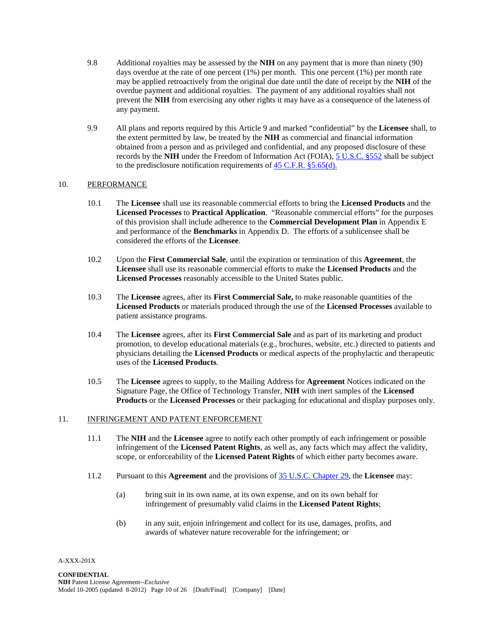- 9.8 Additional royalties may be assessed by the **NIH** on any payment that is more than ninety (90) days overdue at the rate of one percent  $(1\%)$  per month. This one percent  $(1\%)$  per month rate may be applied retroactively from the original due date until the date of receipt by the **NIH** of the overdue payment and additional royalties. The payment of any additional royalties shall not prevent the **NIH** from exercising any other rights it may have as a consequence of the lateness of any payment.
- 9.9 All plans and reports required by this Article 9 and marked "confidential" by the **Licensee** shall, to the extent permitted by law, be treated by the **NIH** as commercial and financial information obtained from a person and as privileged and confidential, and any proposed disclosure of these records by the **NIH** under the Freedom of Information Act (FOIA), [5 U.S.C.](http://frwebgate.access.gpo.gov/cgi-bin/usc.cgi?ACTION=RETRIEVE&FILE=$$xa$$busc5.wais&start=187300&SIZE=125455&TYPE=TEXT) §552 shall be subject to the predisclosure notification requirements of [45 C.F.R.](http://edocket.access.gpo.gov/cfr_2002/octqtr/45cfr5.65.htm) §5.65(d).

### 10. PERFORMANCE

- 10.1 The **Licensee** shall use its reasonable commercial efforts to bring the **Licensed Products** and the **Licensed Processes** to **Practical Application**. "Reasonable commercial efforts" for the purposes of this provision shall include adherence to the **Commercial Development Plan** in Appendix E and performance of the **Benchmarks** in Appendix D. The efforts of a sublicensee shall be considered the efforts of the **Licensee**.
- 10.2 Upon the **First Commercial Sale**, until the expiration or termination of this **Agreement**, the **Licensee** shall use its reasonable commercial efforts to make the **Licensed Products** and the **Licensed Processes** reasonably accessible to the United States public.
- 10.3 The **Licensee** agrees, after its **First Commercial Sale,** to make reasonable quantities of the **Licensed Products** or materials produced through the use of the **Licensed Processes** available to patient assistance programs.
- 10.4 The **Licensee** agrees, after its **First Commercial Sale** and as part of its marketing and product promotion, to develop educational materials (e.g., brochures, website, etc.) directed to patients and physicians detailing the **Licensed Products** or medical aspects of the prophylactic and therapeutic uses of the **Licensed Products**.
- 10.5 The **Licensee** agrees to supply, to the Mailing Address for **Agreement** Notices indicated on the Signature Page, the Office of Technology Transfer, **NIH** with inert samples of the **Licensed Products** or the **Licensed Processes** or their packaging for educational and display purposes only.

### 11. INFRINGEMENT AND PATENT ENFORCEMENT

- 11.1 The **NIH** and the **Licensee** agree to notify each other promptly of each infringement or possible infringement of the **Licensed Patent Rights**, as well as, any facts which may affect the validity, scope, or enforceability of the **Licensed Patent Rights** of which either party becomes aware.
- 11.2 Pursuant to this **Agreement** and the provisions of [35 U.S.C.](http://frwebgate.access.gpo.gov/cgi-bin/usc.cgi?ACTION=BROWSE&TITLE=35USCPIII&PDFS=YES) Chapter 29, the **Licensee** may:
	- (a) bring suit in its own name, at its own expense, and on its own behalf for infringement of presumably valid claims in the **Licensed Patent Rights**;
	- (b) in any suit, enjoin infringement and collect for its use, damages, profits, and awards of whatever nature recoverable for the infringement; or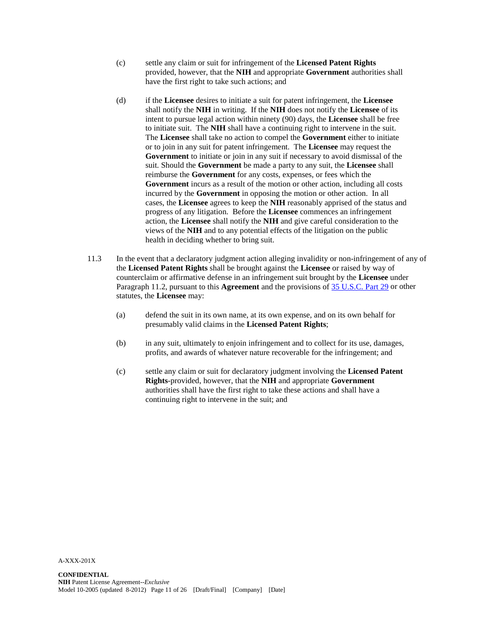- (c) settle any claim or suit for infringement of the **Licensed Patent Rights** provided, however, that the **NIH** and appropriate **Government** authorities shall have the first right to take such actions; and
- (d) if the **Licensee** desires to initiate a suit for patent infringement, the **Licensee** shall notify the **NIH** in writing. If the **NIH** does not notify the **Licensee** of its intent to pursue legal action within ninety (90) days, the **Licensee** shall be free to initiate suit. The **NIH** shall have a continuing right to intervene in the suit. The **Licensee** shall take no action to compel the **Government** either to initiate or to join in any suit for patent infringement. The **Licensee** may request the **Government** to initiate or join in any suit if necessary to avoid dismissal of the suit. Should the **Government** be made a party to any suit, the **Licensee** shall reimburse the **Government** for any costs, expenses, or fees which the **Government** incurs as a result of the motion or other action, including all costs incurred by the **Government** in opposing the motion or other action. In all cases, the **Licensee** agrees to keep the **NIH** reasonably apprised of the status and progress of any litigation. Before the **Licensee** commences an infringement action, the **Licensee** shall notify the **NIH** and give careful consideration to the views of the **NIH** and to any potential effects of the litigation on the public health in deciding whether to bring suit.
- 11.3 In the event that a declaratory judgment action alleging invalidity or non-infringement of any of the **Licensed Patent Rights** shall be brought against the **Licensee** or raised by way of counterclaim or affirmative defense in an infringement suit brought by the **Licensee** under Paragraph 11.2, pursuant to this **Agreement** and the provisions of [35 U.S.C.](http://frwebgate.access.gpo.gov/cgi-bin/usc.cgi?ACTION=BROWSE&TITLE=35USCPIII&PDFS=YES) Part 29 or other statutes, the **Licensee** may:
	- (a) defend the suit in its own name, at its own expense, and on its own behalf for presumably valid claims in the **Licensed Patent Rights**;
	- (b) in any suit, ultimately to enjoin infringement and to collect for its use, damages, profits, and awards of whatever nature recoverable for the infringement; and
	- (c) settle any claim or suit for declaratory judgment involving the **Licensed Patent Rights**-provided, however, that the **NIH** and appropriate **Government** authorities shall have the first right to take these actions and shall have a continuing right to intervene in the suit; and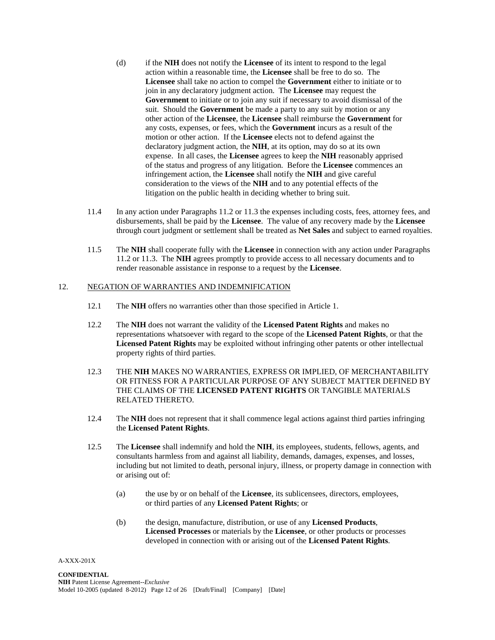- (d) if the **NIH** does not notify the **Licensee** of its intent to respond to the legal action within a reasonable time, the **Licensee** shall be free to do so. The **Licensee** shall take no action to compel the **Government** either to initiate or to join in any declaratory judgment action. The **Licensee** may request the **Government** to initiate or to join any suit if necessary to avoid dismissal of the suit. Should the **Government** be made a party to any suit by motion or any other action of the **Licensee**, the **Licensee** shall reimburse the **Government** for any costs, expenses, or fees, which the **Government** incurs as a result of the motion or other action. If the **Licensee** elects not to defend against the declaratory judgment action, the **NIH**, at its option, may do so at its own expense. In all cases, the **Licensee** agrees to keep the **NIH** reasonably apprised of the status and progress of any litigation. Before the **Licensee** commences an infringement action, the **Licensee** shall notify the **NIH** and give careful consideration to the views of the **NIH** and to any potential effects of the litigation on the public health in deciding whether to bring suit.
- 11.4 In any action under Paragraphs 11.2 or 11.3 the expenses including costs, fees, attorney fees, and disbursements, shall be paid by the **Licensee**. The value of any recovery made by the **Licensee** through court judgment or settlement shall be treated as **Net Sales** and subject to earned royalties.
- 11.5 The **NIH** shall cooperate fully with the **Licensee** in connection with any action under Paragraphs 11.2 or 11.3. The **NIH** agrees promptly to provide access to all necessary documents and to render reasonable assistance in response to a request by the **Licensee**.

### 12. NEGATION OF WARRANTIES AND INDEMNIFICATION

- 12.1 The **NIH** offers no warranties other than those specified in Article 1.
- 12.2 The **NIH** does not warrant the validity of the **Licensed Patent Rights** and makes no representations whatsoever with regard to the scope of the **Licensed Patent Rights**, or that the **Licensed Patent Rights** may be exploited without infringing other patents or other intellectual property rights of third parties.
- 12.3 THE **NIH** MAKES NO WARRANTIES, EXPRESS OR IMPLIED, OF MERCHANTABILITY OR FITNESS FOR A PARTICULAR PURPOSE OF ANY SUBJECT MATTER DEFINED BY THE CLAIMS OF THE **LICENSED PATENT RIGHTS** OR TANGIBLE MATERIALS RELATED THERETO.
- 12.4 The **NIH** does not represent that it shall commence legal actions against third parties infringing the **Licensed Patent Rights**.
- 12.5 The **Licensee** shall indemnify and hold the **NIH**, its employees, students, fellows, agents, and consultants harmless from and against all liability, demands, damages, expenses, and losses, including but not limited to death, personal injury, illness, or property damage in connection with or arising out of:
	- (a) the use by or on behalf of the **Licensee**, its sublicensees, directors, employees, or third parties of any **Licensed Patent Rights**; or
	- (b) the design, manufacture, distribution, or use of any **Licensed Products**, **Licensed Processes** or materials by the **Licensee**, or other products or processes developed in connection with or arising out of the **Licensed Patent Rights**.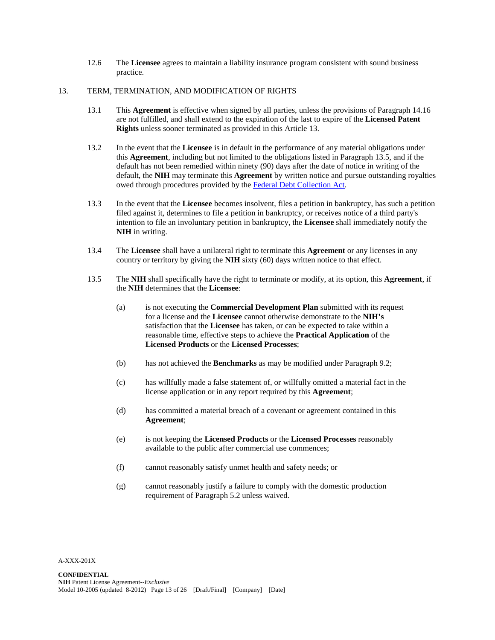12.6 The **Licensee** agrees to maintain a liability insurance program consistent with sound business practice.

### 13. TERM, TERMINATION, AND MODIFICATION OF RIGHTS

- 13.1 This **Agreement** is effective when signed by all parties, unless the provisions of Paragraph 14.16 are not fulfilled, and shall extend to the expiration of the last to expire of the **Licensed Patent Rights** unless sooner terminated as provided in this Article 13.
- 13.2 In the event that the **Licensee** is in default in the performance of any material obligations under this **Agreement**, including but not limited to the obligations listed in Paragraph 13.5, and if the default has not been remedied within ninety (90) days after the date of notice in writing of the default, the **NIH** may terminate this **Agreement** by written notice and pursue outstanding royalties owed through procedures provided by the [Federal Debt Collection Act.](http://www.law.cornell.edu/uscode/uscode15/usc_sup_01_15_10_41_20_V.html)
- 13.3 In the event that the **Licensee** becomes insolvent, files a petition in bankruptcy, has such a petition filed against it, determines to file a petition in bankruptcy, or receives notice of a third party's intention to file an involuntary petition in bankruptcy, the **Licensee** shall immediately notify the **NIH** in writing.
- 13.4 The **Licensee** shall have a unilateral right to terminate this **Agreement** or any licenses in any country or territory by giving the **NIH** sixty (60) days written notice to that effect.
- 13.5 The **NIH** shall specifically have the right to terminate or modify, at its option, this **Agreement**, if the **NIH** determines that the **Licensee**:
	- (a) is not executing the **Commercial Development Plan** submitted with its request for a license and the **Licensee** cannot otherwise demonstrate to the **NIH's** satisfaction that the **Licensee** has taken, or can be expected to take within a reasonable time, effective steps to achieve the **Practical Application** of the **Licensed Products** or the **Licensed Processes**;
	- (b) has not achieved the **Benchmarks** as may be modified under Paragraph 9.2;
	- (c) has willfully made a false statement of, or willfully omitted a material fact in the license application or in any report required by this **Agreement**;
	- (d) has committed a material breach of a covenant or agreement contained in this **Agreement**;
	- (e) is not keeping the **Licensed Products** or the **Licensed Processes** reasonably available to the public after commercial use commences;
	- (f) cannot reasonably satisfy unmet health and safety needs; or
	- (g) cannot reasonably justify a failure to comply with the domestic production requirement of Paragraph 5.2 unless waived.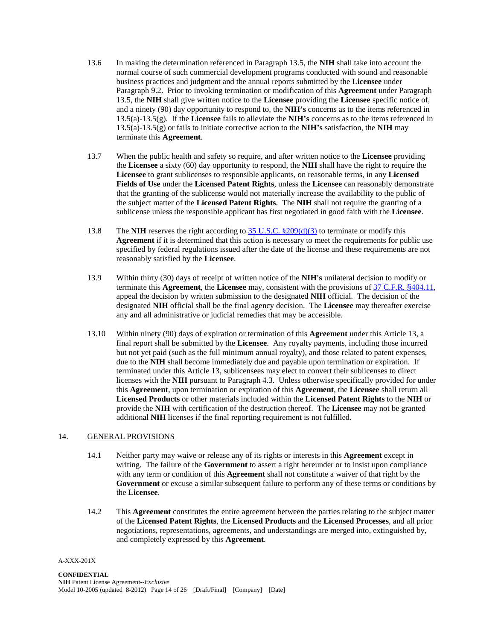- 13.6 In making the determination referenced in Paragraph 13.5, the **NIH** shall take into account the normal course of such commercial development programs conducted with sound and reasonable business practices and judgment and the annual reports submitted by the **Licensee** under Paragraph 9.2. Prior to invoking termination or modification of this **Agreement** under Paragraph 13.5, the **NIH** shall give written notice to the **Licensee** providing the **Licensee** specific notice of, and a ninety (90) day opportunity to respond to, the **NIH's** concerns as to the items referenced in 13.5(a)-13.5(g). If the **Licensee** fails to alleviate the **NIH's** concerns as to the items referenced in 13.5(a)-13.5(g) or fails to initiate corrective action to the **NIH's** satisfaction, the **NIH** may terminate this **Agreement**.
- 13.7 When the public health and safety so require, and after written notice to the **Licensee** providing the **Licensee** a sixty (60) day opportunity to respond, the **NIH** shall have the right to require the **Licensee** to grant sublicenses to responsible applicants, on reasonable terms, in any **Licensed Fields of Use** under the **Licensed Patent Rights**, unless the **Licensee** can reasonably demonstrate that the granting of the sublicense would not materially increase the availability to the public of the subject matter of the **Licensed Patent Rights**. The **NIH** shall not require the granting of a sublicense unless the responsible applicant has first negotiated in good faith with the **Licensee**.
- 13.8 The **NIH** reserves the right according to 35 U.S.C. [§209\(d\)\(3\)](http://frwebgate.access.gpo.gov/cgi-bin/usc.cgi?ACTION=RETRIEVE&FILE=$$xa$$busc35.wais&start=560691&SIZE=6621&TYPE=TEXT) to terminate or modify this **Agreement** if it is determined that this action is necessary to meet the requirements for public use specified by federal regulations issued after the date of the license and these requirements are not reasonably satisfied by the **Licensee**.
- 13.9 Within thirty (30) days of receipt of written notice of the **NIH's** unilateral decision to modify or terminate this **Agreement**, the **Licensee** may, consistent with the provisions of 37 C.F.R. §[404.11,](http://ecfr.gpoaccess.gov/cgi/t/text/text-idx?c=ecfr&sid=b297ad6fa0fdbb0d78921540c692200c&rgn=div8&view=text&node=37:1.0.4.13.2.0.177.11&idno=37) appeal the decision by written submission to the designated **NIH** official. The decision of the designated **NIH** official shall be the final agency decision. The **Licensee** may thereafter exercise any and all administrative or judicial remedies that may be accessible.
- 13.10 Within ninety (90) days of expiration or termination of this **Agreement** under this Article 13, a final report shall be submitted by the **Licensee**. Any royalty payments, including those incurred but not yet paid (such as the full minimum annual royalty), and those related to patent expenses, due to the **NIH** shall become immediately due and payable upon termination or expiration. If terminated under this Article 13, sublicensees may elect to convert their sublicenses to direct licenses with the **NIH** pursuant to Paragraph 4.3. Unless otherwise specifically provided for under this **Agreement**, upon termination or expiration of this **Agreement**, the **Licensee** shall return all **Licensed Products** or other materials included within the **Licensed Patent Rights** to the **NIH** or provide the **NIH** with certification of the destruction thereof. The **Licensee** may not be granted additional **NIH** licenses if the final reporting requirement is not fulfilled.

### 14. GENERAL PROVISIONS

- 14.1 Neither party may waive or release any of its rights or interests in this **Agreement** except in writing. The failure of the **Government** to assert a right hereunder or to insist upon compliance with any term or condition of this **Agreement** shall not constitute a waiver of that right by the **Government** or excuse a similar subsequent failure to perform any of these terms or conditions by the **Licensee**.
- 14.2 This **Agreement** constitutes the entire agreement between the parties relating to the subject matter of the **Licensed Patent Rights**, the **Licensed Products** and the **Licensed Processes**, and all prior negotiations, representations, agreements, and understandings are merged into, extinguished by, and completely expressed by this **Agreement**.

A-XXX-201X

#### **CONFIDENTIAL**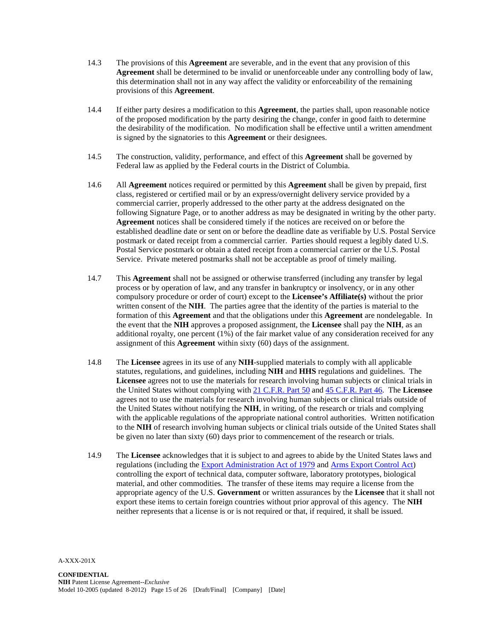- 14.3 The provisions of this **Agreement** are severable, and in the event that any provision of this **Agreement** shall be determined to be invalid or unenforceable under any controlling body of law, this determination shall not in any way affect the validity or enforceability of the remaining provisions of this **Agreement**.
- 14.4 If either party desires a modification to this **Agreement**, the parties shall, upon reasonable notice of the proposed modification by the party desiring the change, confer in good faith to determine the desirability of the modification. No modification shall be effective until a written amendment is signed by the signatories to this **Agreement** or their designees.
- 14.5 The construction, validity, performance, and effect of this **Agreement** shall be governed by Federal law as applied by the Federal courts in the District of Columbia.
- 14.6 All **Agreement** notices required or permitted by this **Agreement** shall be given by prepaid, first class, registered or certified mail or by an express/overnight delivery service provided by a commercial carrier, properly addressed to the other party at the address designated on the following Signature Page, or to another address as may be designated in writing by the other party. **Agreement** notices shall be considered timely if the notices are received on or before the established deadline date or sent on or before the deadline date as verifiable by U.S. Postal Service postmark or dated receipt from a commercial carrier. Parties should request a legibly dated U.S. Postal Service postmark or obtain a dated receipt from a commercial carrier or the U.S. Postal Service. Private metered postmarks shall not be acceptable as proof of timely mailing.
- 14.7 This **Agreement** shall not be assigned or otherwise transferred (including any transfer by legal process or by operation of law, and any transfer in bankruptcy or insolvency, or in any other compulsory procedure or order of court) except to the **Licensee's Affiliate(s)** without the prior written consent of the **NIH**. The parties agree that the identity of the parties is material to the formation of this **Agreement** and that the obligations under this **Agreement** are nondelegable. In the event that the **NIH** approves a proposed assignment, the **Licensee** shall pay the **NIH**, as an additional royalty, one percent (1%) of the fair market value of any consideration received for any assignment of this **Agreement** within sixty (60) days of the assignment.
- 14.8 The **Licensee** agrees in its use of any **NIH**-supplied materials to comply with all applicable statutes, regulations, and guidelines, including **NIH** and **HHS** regulations and guidelines. The **Licensee** agrees not to use the materials for research involving human subjects or clinical trials in the United States without complying with [21 C.F.R.](http://www.access.gpo.gov/nara/cfr/waisidx_02/21cfr50_02.html) Part 50 and 45 [C.F.R.](http://www.access.gpo.gov/nara/cfr/waisidx_03/45cfr46_03.html) Part 46. The **Licensee** agrees not to use the materials for research involving human subjects or clinical trials outside of the United States without notifying the **NIH**, in writing, of the research or trials and complying with the applicable regulations of the appropriate national control authorities. Written notification to the **NIH** of research involving human subjects or clinical trials outside of the United States shall be given no later than sixty (60) days prior to commencement of the research or trials.
- 14.9 The **Licensee** acknowledges that it is subject to and agrees to abide by the United States laws and regulations (including the [Export Administration Act of 1979](http://www.access.gpo.gov/bis/ear/txt/legalauthority.txt) and [Arms Export Control Act\)](http://uscode.house.gov/uscode-cgi/fastweb.exe?getdoc+uscview+t21t25+2719+0++%28%29%20%20AND%20%28%2822%29%20ADJ%20USC%29%3ACITE%20AND%20%28USC%20w%2F10%20%282778%29%29%3ACITE) controlling the export of technical data, computer software, laboratory prototypes, biological material, and other commodities. The transfer of these items may require a license from the appropriate agency of the U.S. **Government** or written assurances by the **Licensee** that it shall not export these items to certain foreign countries without prior approval of this agency. The **NIH** neither represents that a license is or is not required or that, if required, it shall be issued.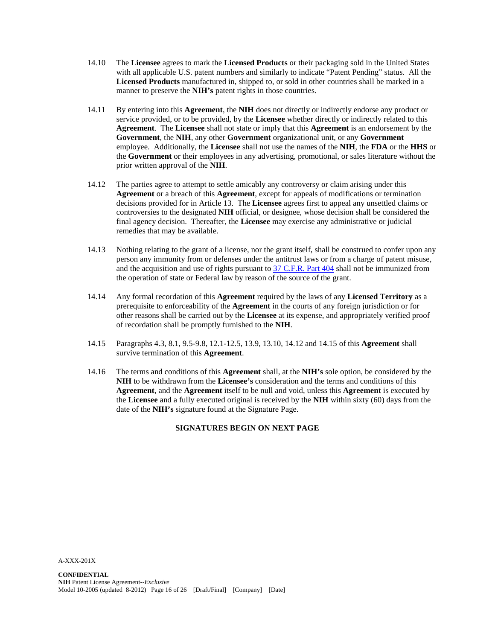- 14.10 The **Licensee** agrees to mark the **Licensed Products** or their packaging sold in the United States with all applicable U.S. patent numbers and similarly to indicate "Patent Pending" status. All the **Licensed Products** manufactured in, shipped to, or sold in other countries shall be marked in a manner to preserve the **NIH's** patent rights in those countries.
- 14.11 By entering into this **Agreement**, the **NIH** does not directly or indirectly endorse any product or service provided, or to be provided, by the **Licensee** whether directly or indirectly related to this **Agreement**. The **Licensee** shall not state or imply that this **Agreement** is an endorsement by the **Government**, the **NIH**, any other **Government** organizational unit, or any **Government** employee. Additionally, the **Licensee** shall not use the names of the **NIH**, the **FDA** or the **HHS** or the **Government** or their employees in any advertising, promotional, or sales literature without the prior written approval of the **NIH**.
- 14.12 The parties agree to attempt to settle amicably any controversy or claim arising under this **Agreement** or a breach of this **Agreement**, except for appeals of modifications or termination decisions provided for in Article 13. The **Licensee** agrees first to appeal any unsettled claims or controversies to the designated **NIH** official, or designee, whose decision shall be considered the final agency decision. Thereafter, the **Licensee** may exercise any administrative or judicial remedies that may be available.
- 14.13 Nothing relating to the grant of a license, nor the grant itself, shall be construed to confer upon any person any immunity from or defenses under the antitrust laws or from a charge of patent misuse, and the acquisition and use of rights pursuant to 37 C.F.R. [Part 404](http://ecfr.gpoaccess.gov/cgi/t/text/text-idx?c=ecfr&sid=229e70f008a519adf064927ea7b66fae&rgn=div5&view=text&node=37:1.0.4.13.2&idno=37) shall not be immunized from the operation of state or Federal law by reason of the source of the grant.
- 14.14 Any formal recordation of this **Agreement** required by the laws of any **Licensed Territory** as a prerequisite to enforceability of the **Agreement** in the courts of any foreign jurisdiction or for other reasons shall be carried out by the **Licensee** at its expense, and appropriately verified proof of recordation shall be promptly furnished to the **NIH**.
- 14.15 Paragraphs 4.3, 8.1, 9.5-9.8, 12.1-12.5, 13.9, 13.10, 14.12 and 14.15 of this **Agreement** shall survive termination of this **Agreement**.
- 14.16 The terms and conditions of this **Agreement** shall, at the **NIH's** sole option, be considered by the **NIH** to be withdrawn from the **Licensee's** consideration and the terms and conditions of this **Agreement**, and the **Agreement** itself to be null and void, unless this **Agreement** is executed by the **Licensee** and a fully executed original is received by the **NIH** within sixty (60) days from the date of the **NIH's** signature found at the Signature Page.

### **SIGNATURES BEGIN ON NEXT PAGE**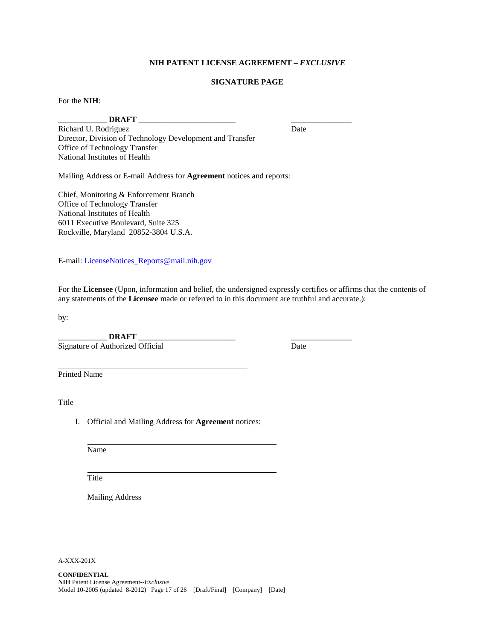### **NIH PATENT LICENSE AGREEMENT –** *EXCLUSIVE*

### **SIGNATURE PAGE**

For the **NIH**:

\_\_\_\_\_\_\_\_\_\_\_\_ **DRAFT** \_\_\_\_\_\_\_\_\_\_\_\_\_\_\_\_\_\_\_\_\_\_\_\_ \_\_\_\_\_\_\_\_\_\_\_\_\_\_\_ Richard U. Rodriguez Director, Division of Technology Development and Transfer Office of Technology Transfer National Institutes of Health

Mailing Address or E-mail Address for **Agreement** notices and reports:

Chief, Monitoring & Enforcement Branch Office of Technology Transfer National Institutes of Health 6011 Executive Boulevard, Suite 325 Rockville, Maryland 20852-3804 U.S.A.

E-mail: [LicenseNotices\\_Reports@mail.nih.gov](mailto:LicenseNotices_Reports@mail.nih.gov)

For the **Licensee** (Upon, information and belief, the undersigned expressly certifies or affirms that the contents of any statements of the **Licensee** made or referred to in this document are truthful and accurate.):

by:

\_\_\_\_\_\_\_\_\_\_\_\_ **DRAFT** \_\_\_\_\_\_\_\_\_\_\_\_\_\_\_\_\_\_\_\_\_\_\_\_ \_\_\_\_\_\_\_\_\_\_\_\_\_\_\_ Signature of Authorized Official

Printed Name

Title

I. Official and Mailing Address for **Agreement** notices:

Name

Title

Mailing Address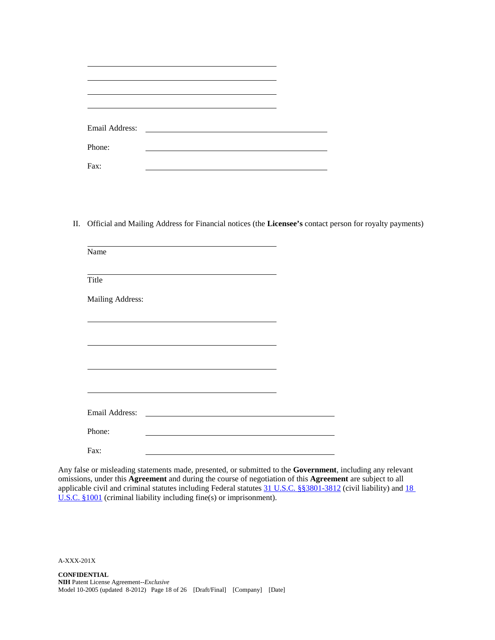| Phone: |  |
|--------|--|
| Fax:   |  |

II. Official and Mailing Address for Financial notices (the **Licensee's** contact person for royalty payments)

| Name             |  |  |  |
|------------------|--|--|--|
| Title            |  |  |  |
| Mailing Address: |  |  |  |
|                  |  |  |  |
|                  |  |  |  |
|                  |  |  |  |
|                  |  |  |  |
| Email Address:   |  |  |  |
| Phone:           |  |  |  |
| Fax:             |  |  |  |

Any false or misleading statements made, presented, or submitted to the **Government**, including any relevant omissions, under this **Agreement** and during the course of negotiation of this **Agreement** are subject to all applicable civil and criminal statutes including Federal statutes 31 U.S.C. [§§3801-3812](http://frwebgate.access.gpo.gov/cgi-bin/usc.cgi?ACTION=BROWSE&TITLE=31USCSIII&PDFS=YES) (civil liability) and 18 [U.S.C.](http://frwebgate.access.gpo.gov/cgi-bin/usc.cgi?ACTION=RETRIEVE&FILE=$$xa$$busc18.wais&start=1925859&SIZE=10370&TYPE=TEXT) §1001 (criminal liability including fine(s) or imprisonment).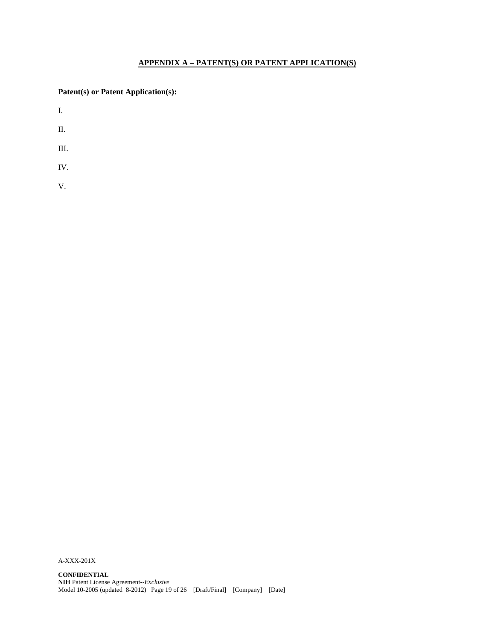# **APPENDIX A – PATENT(S) OR PATENT APPLICATION(S)**

**Patent(s) or Patent Application(s):**

I.

- II.
- III.
- IV.
- V.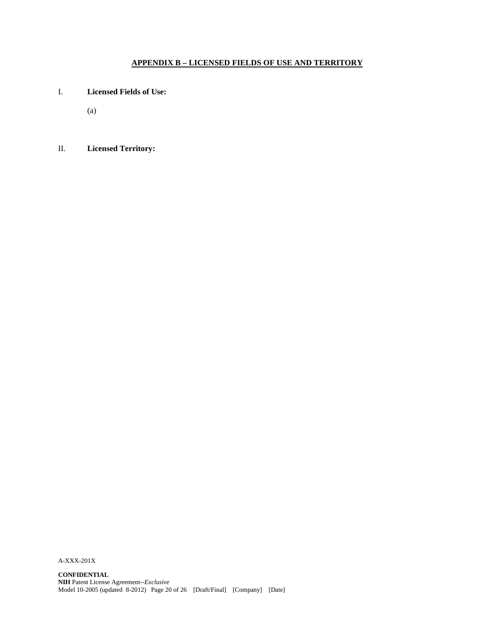# **APPENDIX B – LICENSED FIELDS OF USE AND TERRITORY**

- I. **Licensed Fields of Use:**
	- (a)

# II. **Licensed Territory:**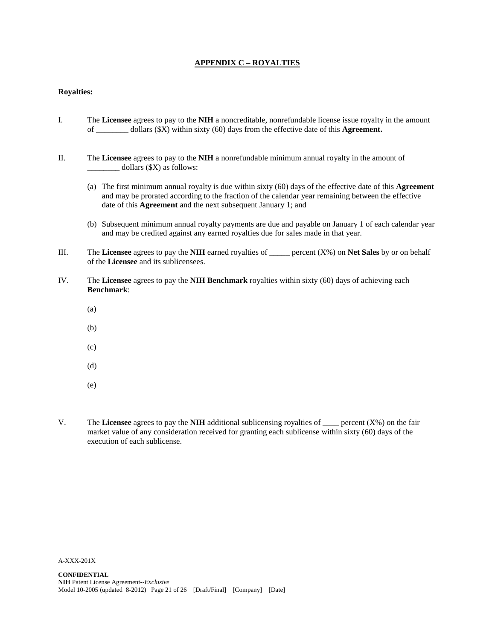### **APPENDIX C – ROYALTIES**

#### **Royalties:**

- I. The **Licensee** agrees to pay to the **NIH** a noncreditable, nonrefundable license issue royalty in the amount of \_\_\_\_\_\_\_\_ dollars (\$X) within sixty (60) days from the effective date of this **Agreement.**
- II. The **Licensee** agrees to pay to the **NIH** a nonrefundable minimum annual royalty in the amount of \_\_\_\_\_\_\_\_ dollars (\$X) as follows:
	- (a) The first minimum annual royalty is due within sixty (60) days of the effective date of this **Agreement** and may be prorated according to the fraction of the calendar year remaining between the effective date of this **Agreement** and the next subsequent January 1; and
	- (b) Subsequent minimum annual royalty payments are due and payable on January 1 of each calendar year and may be credited against any earned royalties due for sales made in that year.
- III. The **Licensee** agrees to pay the **NIH** earned royalties of \_\_\_\_\_ percent (X%) on **Net Sales** by or on behalf of the **Licensee** and its sublicensees.
- IV. The **Licensee** agrees to pay the **NIH Benchmark** royalties within sixty (60) days of achieving each **Benchmark**:
	- (a)
	- (b)
	- (c)
	- (d)
	- (e)
- V. The **Licensee** agrees to pay the **NIH** additional sublicensing royalties of \_\_\_\_ percent (X%) on the fair market value of any consideration received for granting each sublicense within sixty (60) days of the execution of each sublicense.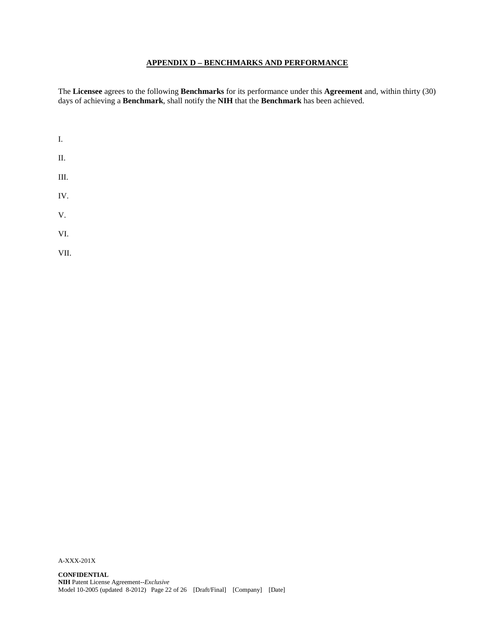## **APPENDIX D – BENCHMARKS AND PERFORMANCE**

The **Licensee** agrees to the following **Benchmarks** for its performance under this **Agreement** and, within thirty (30) days of achieving a **Benchmark**, shall notify the **NIH** that the **Benchmark** has been achieved.

| I.   |  |  |
|------|--|--|
| Π.   |  |  |
| Ш.   |  |  |
| IV.  |  |  |
| V.   |  |  |
| VI.  |  |  |
| VII. |  |  |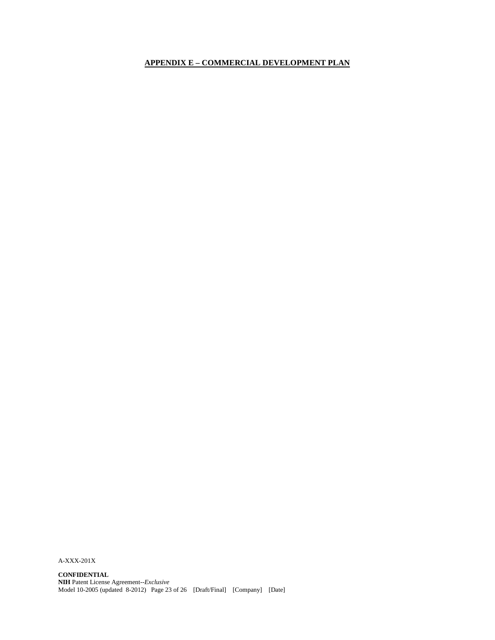# **APPENDIX E – COMMERCIAL DEVELOPMENT PLAN**

A-XXX-201X

**CONFIDENTIAL NIH** Patent License Agreement--*Exclusive* Model 10-2005 (updated 8-2012) Page 23 of 26 [Draft/Final] [Company] [Date]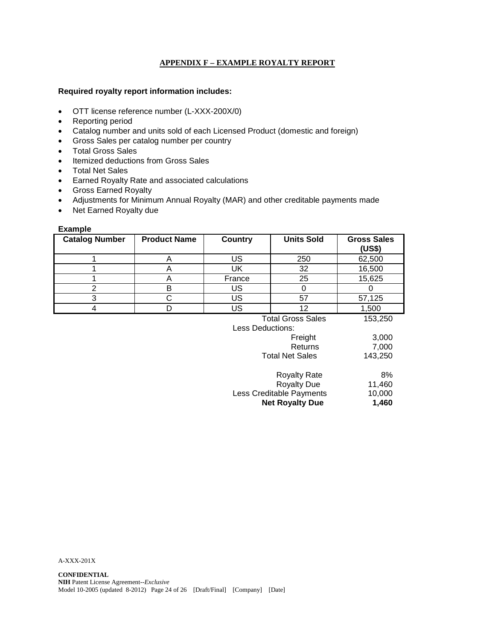## **APPENDIX F – EXAMPLE ROYALTY REPORT**

### **Required royalty report information includes:**

- OTT license reference number (L-XXX-200X/0)
- Reporting period
- Catalog number and units sold of each Licensed Product (domestic and foreign)
- Gross Sales per catalog number per country
- Total Gross Sales
- Itemized deductions from Gross Sales
- Total Net Sales
- Earned Royalty Rate and associated calculations
- Gross Earned Royalty
- Adjustments for Minimum Annual Royalty (MAR) and other creditable payments made
- Net Earned Royalty due

### **Example**

| <b>Catalog Number</b> | <b>Product Name</b> | Country          | <b>Units Sold</b>        | <b>Gross Sales</b><br>(US\$) |
|-----------------------|---------------------|------------------|--------------------------|------------------------------|
|                       | A                   | US               | 250                      | 62,500                       |
|                       | A                   | UK               | 32                       | 16,500                       |
|                       | A                   | France           | 25                       | 15,625                       |
| $\overline{2}$        | Β                   | US               | 0                        |                              |
| 3                     |                     | US               | 57                       | 57,125                       |
| 4                     |                     | <b>US</b>        | 12                       | 1,500                        |
|                       |                     |                  | <b>Total Gross Sales</b> | 153,250                      |
|                       |                     | Less Deductions: |                          |                              |
|                       |                     |                  | Freight                  | 3,000                        |
|                       |                     |                  | Returns                  | 7,000                        |
|                       |                     |                  | <b>Total Net Sales</b>   | 143 250                      |

| י טעשו דזטג טעוטט        | . <del>.</del> |
|--------------------------|----------------|
| Royalty Rate             | 8%             |
| <b>Royalty Due</b>       | 11.460         |
| Less Creditable Payments | 10.000         |
| <b>Net Royalty Due</b>   | 1,460          |
|                          |                |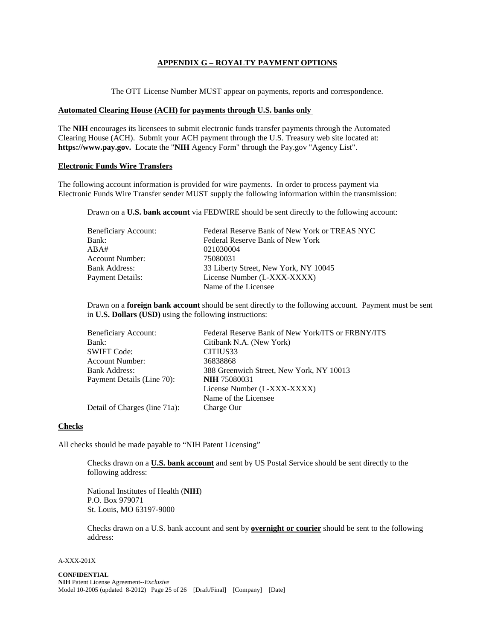### **APPENDIX G – ROYALTY PAYMENT OPTIONS**

The OTT License Number MUST appear on payments, reports and correspondence.

#### **Automated Clearing House (ACH) for payments through U.S. banks only**

The **NIH** encourages its licensees to submit electronic funds transfer payments through the Automated Clearing House (ACH). Submit your ACH payment through the U.S. Treasury web site located at: **https://www.pay.gov.** Locate the "**NIH** Agency Form" through the Pay.gov "Agency List".

### **Electronic Funds Wire Transfers**

The following account information is provided for wire payments. In order to process payment via Electronic Funds Wire Transfer sender MUST supply the following information within the transmission:

Drawn on a **U.S. bank account** via FEDWIRE should be sent directly to the following account:

| <b>Beneficiary Account:</b> | Federal Reserve Bank of New York or TREAS NYC |
|-----------------------------|-----------------------------------------------|
| Bank:                       | Federal Reserve Bank of New York              |
| ABA#                        | 021030004                                     |
| <b>Account Number:</b>      | 75080031                                      |
| <b>Bank Address:</b>        | 33 Liberty Street, New York, NY 10045         |
| Payment Details:            | License Number (L-XXX-XXXX)                   |
|                             | Name of the Licensee                          |

Drawn on a **foreign bank account** should be sent directly to the following account. Payment must be sent in **U.S. Dollars (USD)** using the following instructions:

| Beneficiary Account:          | Federal Reserve Bank of New York/ITS or FRBNY/ITS |
|-------------------------------|---------------------------------------------------|
| Bank:                         | Citibank N.A. (New York)                          |
| <b>SWIFT Code:</b>            | CITIUS33                                          |
| <b>Account Number:</b>        | 36838868                                          |
| <b>Bank Address:</b>          | 388 Greenwich Street, New York, NY 10013          |
| Payment Details (Line 70):    | <b>NIH 75080031</b>                               |
|                               | License Number (L-XXX-XXXX)                       |
|                               | Name of the Licensee                              |
| Detail of Charges (line 71a): | Charge Our                                        |

#### **Checks**

All checks should be made payable to "NIH Patent Licensing"

Checks drawn on a **U.S. bank account** and sent by US Postal Service should be sent directly to the following address:

National Institutes of Health (**NIH**) P.O. Box 979071 St. Louis, MO 63197-9000

Checks drawn on a U.S. bank account and sent by **overnight or courier** should be sent to the following address: